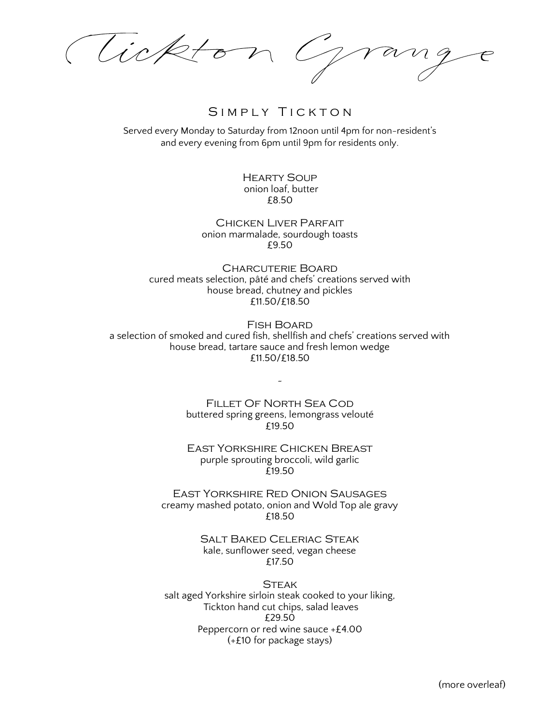Tickton Grang

## SIMPLY TICKTON

Served every Monday to Saturday from 12noon until 4pm for non-resident's and every evening from 6pm until 9pm for residents only.

> Hearty Soup onion loaf, butter £8.50

Chicken Liver Parfait onion marmalade, sourdough toasts £9.50

Charcuterie Board cured meats selection, pâté and chefs' creations served with house bread, chutney and pickles £11.50/£18.50

Fish Board a selection of smoked and cured fish, shellfish and chefs' creations served with house bread, tartare sauce and fresh lemon wedge £11.50/£18.50

> Fillet Of North Sea Cod buttered spring greens, lemongrass velouté £19.50

~

East Yorkshire Chicken Breast purple sprouting broccoli, wild garlic £19.50

East Yorkshire Red Onion Sausages creamy mashed potato, onion and Wold Top ale gravy £18.50

> Salt Baked Celeriac Steak kale, sunflower seed, vegan cheese £17.50

**STEAK** salt aged Yorkshire sirloin steak cooked to your liking, Tickton hand cut chips, salad leaves £29.50 Peppercorn or red wine sauce +£4.00 (+£10 for package stays)